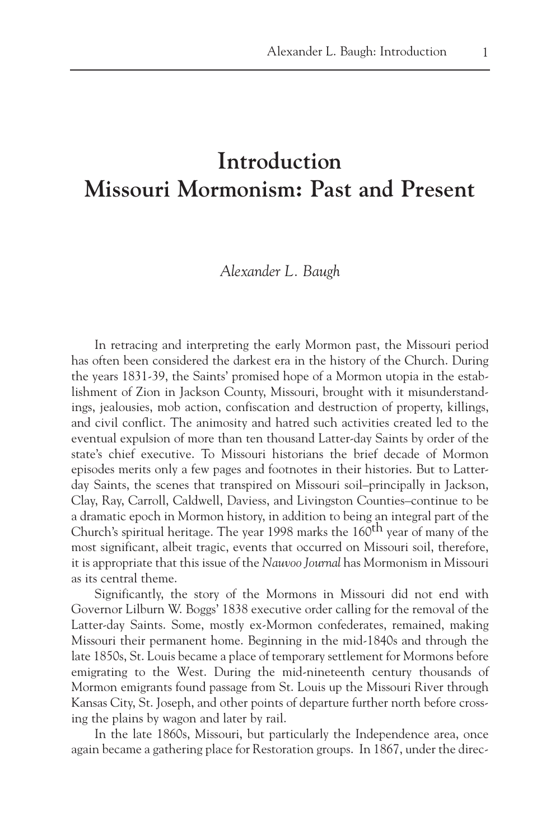## **Introduction Missouri Mormonism: Past and Present**

## *Alexander L. Baugh*

In retracing and interpreting the early Mormon past, the Missouri period has often been considered the darkest era in the history of the Church. During the years 1831-39, the Saints' promised hope of a Mormon utopia in the establishment of Zion in Jackson County, Missouri, brought with it misunderstandings, jealousies, mob action, confiscation and destruction of property, killings, and civil conflict. The animosity and hatred such activities created led to the eventual expulsion of more than ten thousand Latter-day Saints by order of the state's chief executive. To Missouri historians the brief decade of Mormon episodes merits only a few pages and footnotes in their histories. But to Latterday Saints, the scenes that transpired on Missouri soil–principally in Jackson, Clay, Ray, Carroll, Caldwell, Daviess, and Livingston Counties–continue to be a dramatic epoch in Mormon history, in addition to being an integral part of the Church's spiritual heritage. The year 1998 marks the 160th year of many of the most significant, albeit tragic, events that occurred on Missouri soil, therefore, it is appropriate that this issue of the *Nauvoo Journal* has Mormonism in Missouri as its central theme.

Significantly, the story of the Mormons in Missouri did not end with Governor Lilburn W. Boggs' 1838 executive order calling for the removal of the Latter-day Saints. Some, mostly ex-Mormon confederates, remained, making Missouri their permanent home. Beginning in the mid-1840s and through the late 1850s, St. Louis became a place of temporary settlement for Mormons before emigrating to the West. During the mid-nineteenth century thousands of Mormon emigrants found passage from St. Louis up the Missouri River through Kansas City, St. Joseph, and other points of departure further north before crossing the plains by wagon and later by rail.

In the late 1860s, Missouri, but particularly the Independence area, once again became a gathering place for Restoration groups. In 1867, under the direc